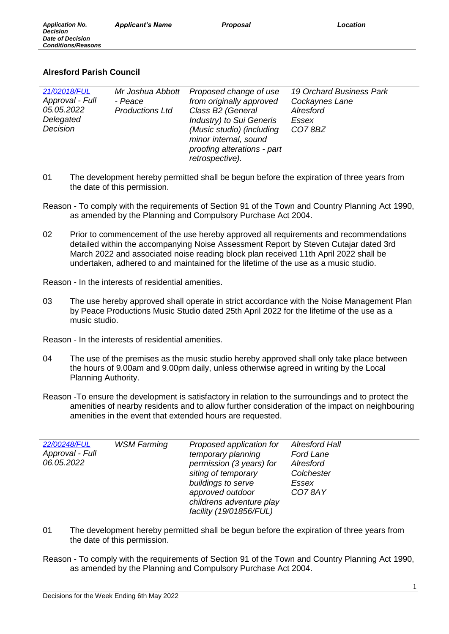# **Alresford Parish Council**

| 21/02018/FUL<br>Approval - Full<br>05.05.2022<br>Delegated<br>Decision | Mr Joshua Abbott<br>- Peace<br><b>Productions Ltd</b> | Proposed change of use<br>from originally approved<br>Class B2 (General<br>Industry) to Sui Generis<br>(Music studio) (including<br>minor internal, sound<br>proofing alterations - part<br>retrospective). | <b>19 Orchard Business Park</b><br>Cockaynes Lane<br>Alresford<br>Essex<br>CO78BZ |
|------------------------------------------------------------------------|-------------------------------------------------------|-------------------------------------------------------------------------------------------------------------------------------------------------------------------------------------------------------------|-----------------------------------------------------------------------------------|
|------------------------------------------------------------------------|-------------------------------------------------------|-------------------------------------------------------------------------------------------------------------------------------------------------------------------------------------------------------------|-----------------------------------------------------------------------------------|

- 01 The development hereby permitted shall be begun before the expiration of three years from the date of this permission.
- Reason To comply with the requirements of Section 91 of the Town and Country Planning Act 1990, as amended by the Planning and Compulsory Purchase Act 2004.
- 02 Prior to commencement of the use hereby approved all requirements and recommendations detailed within the accompanying Noise Assessment Report by Steven Cutajar dated 3rd March 2022 and associated noise reading block plan received 11th April 2022 shall be undertaken, adhered to and maintained for the lifetime of the use as a music studio.

Reason - In the interests of residential amenities.

03 The use hereby approved shall operate in strict accordance with the Noise Management Plan by Peace Productions Music Studio dated 25th April 2022 for the lifetime of the use as a music studio.

Reason - In the interests of residential amenities.

- 04 The use of the premises as the music studio hereby approved shall only take place between the hours of 9.00am and 9.00pm daily, unless otherwise agreed in writing by the Local Planning Authority.
- Reason -To ensure the development is satisfactory in relation to the surroundings and to protect the amenities of nearby residents and to allow further consideration of the impact on neighbouring amenities in the event that extended hours are requested.

| 22/00248/FUL<br><b>WSM Farming</b><br>Approval - Full<br>06.05.2022 | Proposed application for<br>temporary planning<br>permission (3 years) for<br>siting of temporary<br>buildings to serve<br>approved outdoor<br>childrens adventure play<br>facility (19/01856/FUL) | <b>Alresford Hall</b><br>Ford Lane<br>Alresford<br>Colchester<br>Essex<br>CO78AY |
|---------------------------------------------------------------------|----------------------------------------------------------------------------------------------------------------------------------------------------------------------------------------------------|----------------------------------------------------------------------------------|
|---------------------------------------------------------------------|----------------------------------------------------------------------------------------------------------------------------------------------------------------------------------------------------|----------------------------------------------------------------------------------|

- 01 The development hereby permitted shall be begun before the expiration of three years from the date of this permission.
- Reason To comply with the requirements of Section 91 of the Town and Country Planning Act 1990, as amended by the Planning and Compulsory Purchase Act 2004.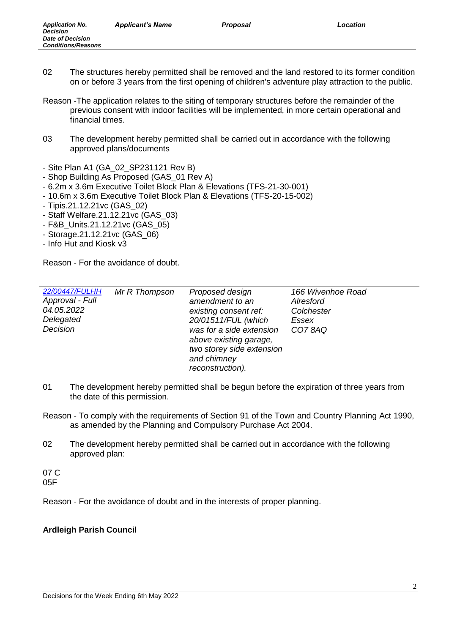- 02 The structures hereby permitted shall be removed and the land restored to its former condition on or before 3 years from the first opening of children's adventure play attraction to the public.
- Reason -The application relates to the siting of temporary structures before the remainder of the previous consent with indoor facilities will be implemented, in more certain operational and financial times.
- 03 The development hereby permitted shall be carried out in accordance with the following approved plans/documents
- Site Plan A1 (GA\_02\_SP231121 Rev B)
- Shop Building As Proposed (GAS\_01 Rev A)
- 6.2m x 3.6m Executive Toilet Block Plan & Elevations (TFS-21-30-001)
- 10.6m x 3.6m Executive Toilet Block Plan & Elevations (TFS-20-15-002)
- Tipis.21.12.21vc (GAS\_02)
- Staff Welfare.21.12.21vc (GAS\_03)
- F&B\_Units.21.12.21vc (GAS\_05)
- Storage.21.12.21vc (GAS\_06)
- Info Hut and Kiosk v3

Reason - For the avoidance of doubt.

| 22/00447/FULHH<br>Approval - Full<br>04.05.2022<br>Delegated<br>Decision | Mr R Thompson | Proposed design<br>amendment to an<br>existing consent ref:<br>20/01511/FUL (which<br>was for a side extension<br>above existing garage,<br>two storey side extension<br>and chimney<br>reconstruction). | 166 Wivenhoe Road<br>Alresford<br>Colchester<br>Essex<br>CO78AQ |
|--------------------------------------------------------------------------|---------------|----------------------------------------------------------------------------------------------------------------------------------------------------------------------------------------------------------|-----------------------------------------------------------------|
|--------------------------------------------------------------------------|---------------|----------------------------------------------------------------------------------------------------------------------------------------------------------------------------------------------------------|-----------------------------------------------------------------|

- 01 The development hereby permitted shall be begun before the expiration of three years from the date of this permission.
- Reason To comply with the requirements of Section 91 of the Town and Country Planning Act 1990, as amended by the Planning and Compulsory Purchase Act 2004.
- 02 The development hereby permitted shall be carried out in accordance with the following approved plan:

07 C 05F

Reason - For the avoidance of doubt and in the interests of proper planning.

# **Ardleigh Parish Council**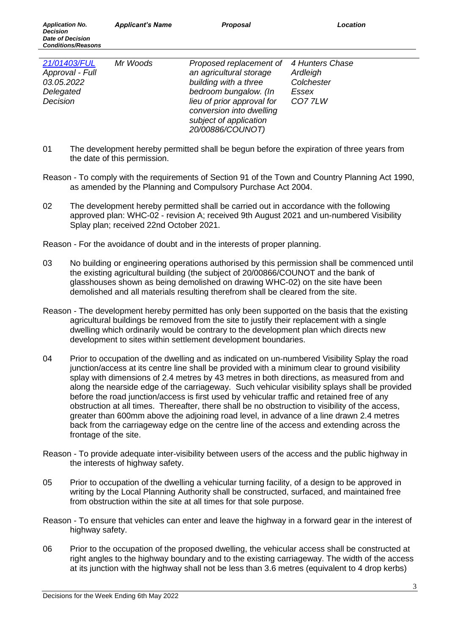| 21/01403/FUL<br>Approval - Full<br>03.05.2022<br>Delegated<br>Decision | Mr Woods | Proposed replacement of 4 Hunters Chase<br>an agricultural storage<br>building with a three<br>bedroom bungalow. (In<br>lieu of prior approval for<br>conversion into dwelling<br>subject of application | Ardleigh<br>Colchester<br>Essex<br>CO77LW |
|------------------------------------------------------------------------|----------|----------------------------------------------------------------------------------------------------------------------------------------------------------------------------------------------------------|-------------------------------------------|
|                                                                        |          | 20/00886/COUNOT)                                                                                                                                                                                         |                                           |

- 01 The development hereby permitted shall be begun before the expiration of three years from the date of this permission.
- Reason To comply with the requirements of Section 91 of the Town and Country Planning Act 1990, as amended by the Planning and Compulsory Purchase Act 2004.
- 02 The development hereby permitted shall be carried out in accordance with the following approved plan: WHC-02 - revision A; received 9th August 2021 and un-numbered Visibility Splay plan; received 22nd October 2021.

- 03 No building or engineering operations authorised by this permission shall be commenced until the existing agricultural building (the subject of 20/00866/COUNOT and the bank of glasshouses shown as being demolished on drawing WHC-02) on the site have been demolished and all materials resulting therefrom shall be cleared from the site.
- Reason The development hereby permitted has only been supported on the basis that the existing agricultural buildings be removed from the site to justify their replacement with a single dwelling which ordinarily would be contrary to the development plan which directs new development to sites within settlement development boundaries.
- 04 Prior to occupation of the dwelling and as indicated on un-numbered Visibility Splay the road junction/access at its centre line shall be provided with a minimum clear to ground visibility splay with dimensions of 2.4 metres by 43 metres in both directions, as measured from and along the nearside edge of the carriageway. Such vehicular visibility splays shall be provided before the road junction/access is first used by vehicular traffic and retained free of any obstruction at all times. Thereafter, there shall be no obstruction to visibility of the access, greater than 600mm above the adjoining road level, in advance of a line drawn 2.4 metres back from the carriageway edge on the centre line of the access and extending across the frontage of the site.
- Reason To provide adequate inter-visibility between users of the access and the public highway in the interests of highway safety.
- 05 Prior to occupation of the dwelling a vehicular turning facility, of a design to be approved in writing by the Local Planning Authority shall be constructed, surfaced, and maintained free from obstruction within the site at all times for that sole purpose.
- Reason To ensure that vehicles can enter and leave the highway in a forward gear in the interest of highway safety.
- 06 Prior to the occupation of the proposed dwelling, the vehicular access shall be constructed at right angles to the highway boundary and to the existing carriageway. The width of the access at its junction with the highway shall not be less than 3.6 metres (equivalent to 4 drop kerbs)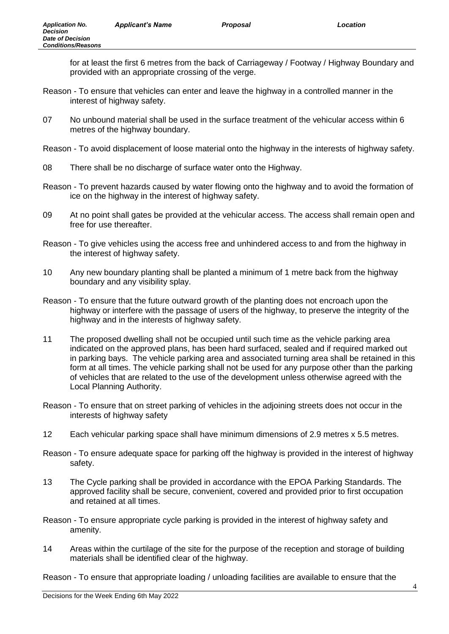for at least the first 6 metres from the back of Carriageway / Footway / Highway Boundary and provided with an appropriate crossing of the verge.

- Reason To ensure that vehicles can enter and leave the highway in a controlled manner in the interest of highway safety.
- 07 No unbound material shall be used in the surface treatment of the vehicular access within 6 metres of the highway boundary.
- Reason To avoid displacement of loose material onto the highway in the interests of highway safety.
- 08 There shall be no discharge of surface water onto the Highway.
- Reason To prevent hazards caused by water flowing onto the highway and to avoid the formation of ice on the highway in the interest of highway safety.
- 09 At no point shall gates be provided at the vehicular access. The access shall remain open and free for use thereafter.
- Reason To give vehicles using the access free and unhindered access to and from the highway in the interest of highway safety.
- 10 Any new boundary planting shall be planted a minimum of 1 metre back from the highway boundary and any visibility splay.
- Reason To ensure that the future outward growth of the planting does not encroach upon the highway or interfere with the passage of users of the highway, to preserve the integrity of the highway and in the interests of highway safety.
- 11 The proposed dwelling shall not be occupied until such time as the vehicle parking area indicated on the approved plans, has been hard surfaced, sealed and if required marked out in parking bays. The vehicle parking area and associated turning area shall be retained in this form at all times. The vehicle parking shall not be used for any purpose other than the parking of vehicles that are related to the use of the development unless otherwise agreed with the Local Planning Authority.
- Reason To ensure that on street parking of vehicles in the adjoining streets does not occur in the interests of highway safety
- 12 Each vehicular parking space shall have minimum dimensions of 2.9 metres x 5.5 metres.
- Reason To ensure adequate space for parking off the highway is provided in the interest of highway safety.
- 13 The Cycle parking shall be provided in accordance with the EPOA Parking Standards. The approved facility shall be secure, convenient, covered and provided prior to first occupation and retained at all times.
- Reason To ensure appropriate cycle parking is provided in the interest of highway safety and amenity.
- 14 Areas within the curtilage of the site for the purpose of the reception and storage of building materials shall be identified clear of the highway.

Reason - To ensure that appropriate loading / unloading facilities are available to ensure that the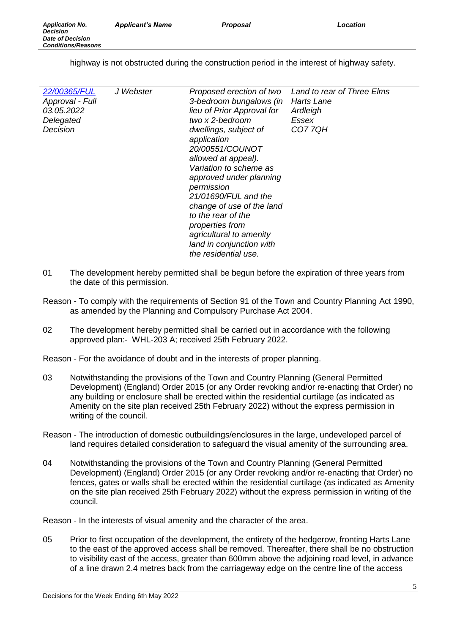highway is not obstructed during the construction period in the interest of highway safety.

| 22/00365/FUL<br>Approval - Full<br>03.05.2022<br>Delegated<br>Decision | J Webster | Proposed erection of two<br>3-bedroom bungalows (in<br>lieu of Prior Approval for<br>two x 2-bedroom<br>dwellings, subject of<br>application<br>20/00551/COUNOT<br>allowed at appeal).<br>Variation to scheme as<br>approved under planning<br>permission<br>21/01690/FUL and the<br>change of use of the land<br>to the rear of the<br>properties from<br>agricultural to amenity<br>land in conjunction with<br>the residential use. | Land to rear of Three Elms<br>Harts Lane<br>Ardleigh<br>Essex<br><b>CO77QH</b> |
|------------------------------------------------------------------------|-----------|----------------------------------------------------------------------------------------------------------------------------------------------------------------------------------------------------------------------------------------------------------------------------------------------------------------------------------------------------------------------------------------------------------------------------------------|--------------------------------------------------------------------------------|
|------------------------------------------------------------------------|-----------|----------------------------------------------------------------------------------------------------------------------------------------------------------------------------------------------------------------------------------------------------------------------------------------------------------------------------------------------------------------------------------------------------------------------------------------|--------------------------------------------------------------------------------|

- 01 The development hereby permitted shall be begun before the expiration of three years from the date of this permission.
- Reason To comply with the requirements of Section 91 of the Town and Country Planning Act 1990, as amended by the Planning and Compulsory Purchase Act 2004.
- 02 The development hereby permitted shall be carried out in accordance with the following approved plan:- WHL-203 A; received 25th February 2022.

Reason - For the avoidance of doubt and in the interests of proper planning.

- 03 Notwithstanding the provisions of the Town and Country Planning (General Permitted Development) (England) Order 2015 (or any Order revoking and/or re-enacting that Order) no any building or enclosure shall be erected within the residential curtilage (as indicated as Amenity on the site plan received 25th February 2022) without the express permission in writing of the council.
- Reason The introduction of domestic outbuildings/enclosures in the large, undeveloped parcel of land requires detailed consideration to safeguard the visual amenity of the surrounding area.
- 04 Notwithstanding the provisions of the Town and Country Planning (General Permitted Development) (England) Order 2015 (or any Order revoking and/or re-enacting that Order) no fences, gates or walls shall be erected within the residential curtilage (as indicated as Amenity on the site plan received 25th February 2022) without the express permission in writing of the council.

Reason - In the interests of visual amenity and the character of the area.

05 Prior to first occupation of the development, the entirety of the hedgerow, fronting Harts Lane to the east of the approved access shall be removed. Thereafter, there shall be no obstruction to visibility east of the access, greater than 600mm above the adjoining road level, in advance of a line drawn 2.4 metres back from the carriageway edge on the centre line of the access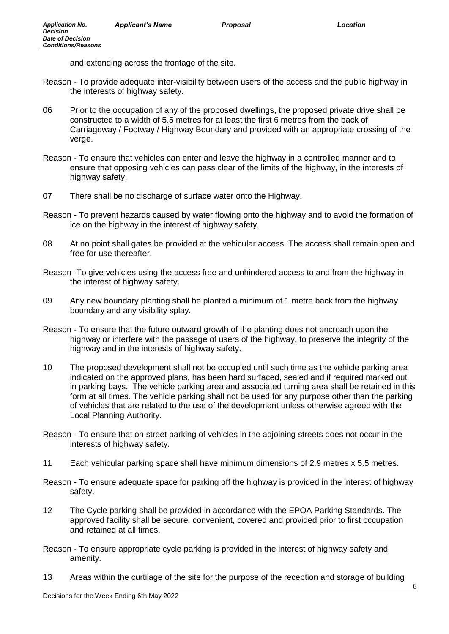and extending across the frontage of the site.

- Reason To provide adequate inter-visibility between users of the access and the public highway in the interests of highway safety.
- 06 Prior to the occupation of any of the proposed dwellings, the proposed private drive shall be constructed to a width of 5.5 metres for at least the first 6 metres from the back of Carriageway / Footway / Highway Boundary and provided with an appropriate crossing of the verge.
- Reason To ensure that vehicles can enter and leave the highway in a controlled manner and to ensure that opposing vehicles can pass clear of the limits of the highway, in the interests of highway safety.
- 07 There shall be no discharge of surface water onto the Highway.
- Reason To prevent hazards caused by water flowing onto the highway and to avoid the formation of ice on the highway in the interest of highway safety.
- 08 At no point shall gates be provided at the vehicular access. The access shall remain open and free for use thereafter.
- Reason -To give vehicles using the access free and unhindered access to and from the highway in the interest of highway safety.
- 09 Any new boundary planting shall be planted a minimum of 1 metre back from the highway boundary and any visibility splay.
- Reason To ensure that the future outward growth of the planting does not encroach upon the highway or interfere with the passage of users of the highway, to preserve the integrity of the highway and in the interests of highway safety.
- 10 The proposed development shall not be occupied until such time as the vehicle parking area indicated on the approved plans, has been hard surfaced, sealed and if required marked out in parking bays. The vehicle parking area and associated turning area shall be retained in this form at all times. The vehicle parking shall not be used for any purpose other than the parking of vehicles that are related to the use of the development unless otherwise agreed with the Local Planning Authority.
- Reason To ensure that on street parking of vehicles in the adjoining streets does not occur in the interests of highway safety.
- 11 Each vehicular parking space shall have minimum dimensions of 2.9 metres x 5.5 metres.
- Reason To ensure adequate space for parking off the highway is provided in the interest of highway safety.
- 12 The Cycle parking shall be provided in accordance with the EPOA Parking Standards. The approved facility shall be secure, convenient, covered and provided prior to first occupation and retained at all times.
- Reason To ensure appropriate cycle parking is provided in the interest of highway safety and amenity.
- 13 Areas within the curtilage of the site for the purpose of the reception and storage of building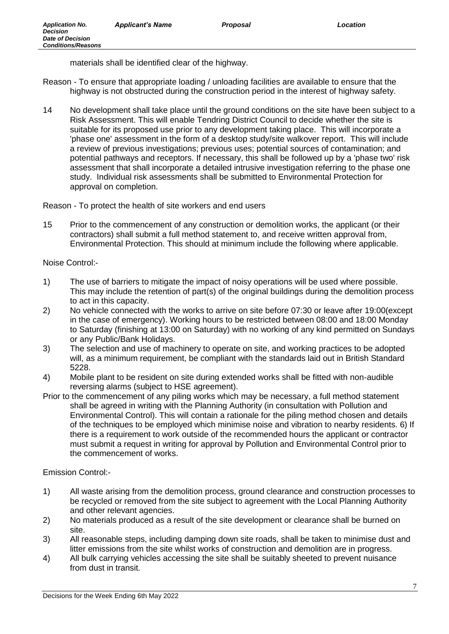materials shall be identified clear of the highway.

- Reason To ensure that appropriate loading / unloading facilities are available to ensure that the highway is not obstructed during the construction period in the interest of highway safety.
- 14 No development shall take place until the ground conditions on the site have been subject to a Risk Assessment. This will enable Tendring District Council to decide whether the site is suitable for its proposed use prior to any development taking place. This will incorporate a 'phase one' assessment in the form of a desktop study/site walkover report. This will include a review of previous investigations; previous uses; potential sources of contamination; and potential pathways and receptors. If necessary, this shall be followed up by a 'phase two' risk assessment that shall incorporate a detailed intrusive investigation referring to the phase one study. Individual risk assessments shall be submitted to Environmental Protection for approval on completion.

Reason - To protect the health of site workers and end users

15 Prior to the commencement of any construction or demolition works, the applicant (or their contractors) shall submit a full method statement to, and receive written approval from, Environmental Protection. This should at minimum include the following where applicable.

# Noise Control:-

- 1) The use of barriers to mitigate the impact of noisy operations will be used where possible. This may include the retention of part(s) of the original buildings during the demolition process to act in this capacity.
- 2) No vehicle connected with the works to arrive on site before 07:30 or leave after 19:00(except in the case of emergency). Working hours to be restricted between 08:00 and 18:00 Monday to Saturday (finishing at 13:00 on Saturday) with no working of any kind permitted on Sundays or any Public/Bank Holidays.
- 3) The selection and use of machinery to operate on site, and working practices to be adopted will, as a minimum requirement, be compliant with the standards laid out in British Standard 5228.
- 4) Mobile plant to be resident on site during extended works shall be fitted with non-audible reversing alarms (subject to HSE agreement).
- Prior to the commencement of any piling works which may be necessary, a full method statement shall be agreed in writing with the Planning Authority (in consultation with Pollution and Environmental Control). This will contain a rationale for the piling method chosen and details of the techniques to be employed which minimise noise and vibration to nearby residents. 6) If there is a requirement to work outside of the recommended hours the applicant or contractor must submit a request in writing for approval by Pollution and Environmental Control prior to the commencement of works.

# Emission Control:-

- 1) All waste arising from the demolition process, ground clearance and construction processes to be recycled or removed from the site subject to agreement with the Local Planning Authority and other relevant agencies.
- 2) No materials produced as a result of the site development or clearance shall be burned on site.
- 3) All reasonable steps, including damping down site roads, shall be taken to minimise dust and litter emissions from the site whilst works of construction and demolition are in progress.
- 4) All bulk carrying vehicles accessing the site shall be suitably sheeted to prevent nuisance from dust in transit.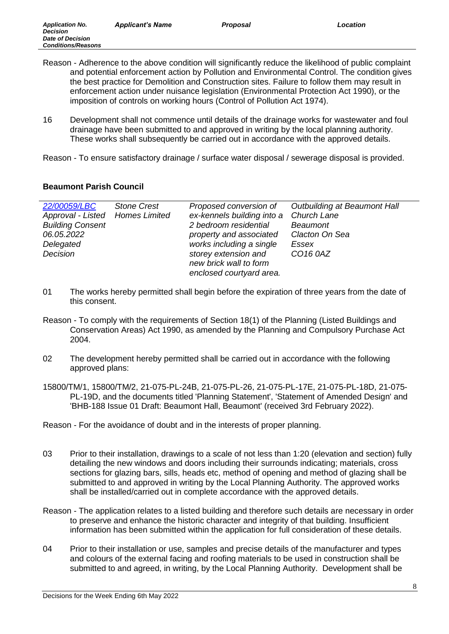Reason - Adherence to the above condition will significantly reduce the likelihood of public complaint and potential enforcement action by Pollution and Environmental Control. The condition gives the best practice for Demolition and Construction sites. Failure to follow them may result in enforcement action under nuisance legislation (Environmental Protection Act 1990), or the

imposition of controls on working hours (Control of Pollution Act 1974).

16 Development shall not commence until details of the drainage works for wastewater and foul drainage have been submitted to and approved in writing by the local planning authority. These works shall subsequently be carried out in accordance with the approved details.

Reason - To ensure satisfactory drainage / surface water disposal / sewerage disposal is provided.

# **Beaumont Parish Council**

*Application No. Decision Date of Decision Conditions/Reasons*

| <b>Stone Crest</b><br>Approval - Listed Homes Limited | Proposed conversion of<br>ex-kennels building into a | Outbuilding at Beaumont Hall<br>Church Lane |
|-------------------------------------------------------|------------------------------------------------------|---------------------------------------------|
|                                                       |                                                      | <b>Beaumont</b>                             |
|                                                       | property and associated                              | Clacton On Sea                              |
|                                                       | works including a single                             | Essex                                       |
|                                                       | storey extension and                                 | CO16 0AZ                                    |
|                                                       | new brick wall to form                               |                                             |
|                                                       | enclosed courtyard area.                             |                                             |
|                                                       |                                                      | 2 bedroom residential                       |

- 01 The works hereby permitted shall begin before the expiration of three years from the date of this consent.
- Reason To comply with the requirements of Section 18(1) of the Planning (Listed Buildings and Conservation Areas) Act 1990, as amended by the Planning and Compulsory Purchase Act 2004.
- 02 The development hereby permitted shall be carried out in accordance with the following approved plans:
- 15800/TM/1, 15800/TM/2, 21-075-PL-24B, 21-075-PL-26, 21-075-PL-17E, 21-075-PL-18D, 21-075- PL-19D, and the documents titled 'Planning Statement', 'Statement of Amended Design' and 'BHB-188 Issue 01 Draft: Beaumont Hall, Beaumont' (received 3rd February 2022).

- 03 Prior to their installation, drawings to a scale of not less than 1:20 (elevation and section) fully detailing the new windows and doors including their surrounds indicating; materials, cross sections for glazing bars, sills, heads etc, method of opening and method of glazing shall be submitted to and approved in writing by the Local Planning Authority. The approved works shall be installed/carried out in complete accordance with the approved details.
- Reason The application relates to a listed building and therefore such details are necessary in order to preserve and enhance the historic character and integrity of that building. Insufficient information has been submitted within the application for full consideration of these details.
- 04 Prior to their installation or use, samples and precise details of the manufacturer and types and colours of the external facing and roofing materials to be used in construction shall be submitted to and agreed, in writing, by the Local Planning Authority. Development shall be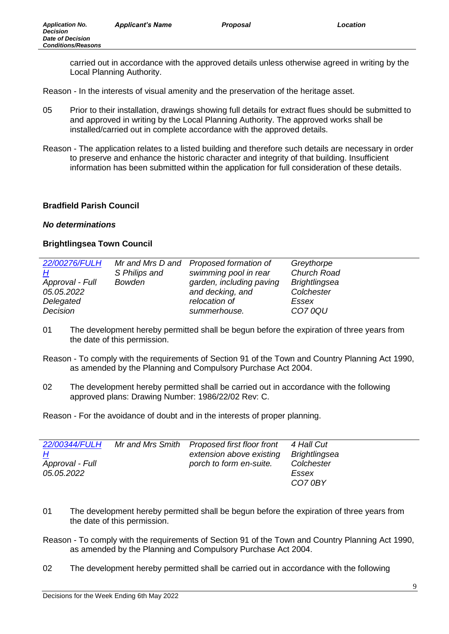carried out in accordance with the approved details unless otherwise agreed in writing by the Local Planning Authority.

Reason - In the interests of visual amenity and the preservation of the heritage asset.

- 05 Prior to their installation, drawings showing full details for extract flues should be submitted to and approved in writing by the Local Planning Authority. The approved works shall be installed/carried out in complete accordance with the approved details.
- Reason The application relates to a listed building and therefore such details are necessary in order to preserve and enhance the historic character and integrity of that building. Insufficient information has been submitted within the application for full consideration of these details.

# **Bradfield Parish Council**

## *No determinations*

# **Brightlingsea Town Council**

| 22/00276/FULH   |               | Mr and Mrs D and Proposed formation of | Greythorpe           |
|-----------------|---------------|----------------------------------------|----------------------|
| H               | S Philips and | swimming pool in rear                  | Church Road          |
| Approval - Full | <b>Bowden</b> | garden, including paving               | <b>Brightlingsea</b> |
| 05.05.2022      |               | and decking, and                       | Colchester           |
| Delegated       |               | relocation of                          | Essex                |
| Decision        |               | summerhouse.                           | <b>CO70QU</b>        |

- 01 The development hereby permitted shall be begun before the expiration of three years from the date of this permission.
- Reason To comply with the requirements of Section 91 of the Town and Country Planning Act 1990, as amended by the Planning and Compulsory Purchase Act 2004.
- 02 The development hereby permitted shall be carried out in accordance with the following approved plans: Drawing Number: 1986/22/02 Rev: C.

| 22/00344/FULH<br><u>Н</u><br>Approval - Full<br><i>05.05.2022</i> | Mr and Mrs Smith | <b>Proposed first floor front</b><br>extension above existing<br>porch to form en-suite. | 4 Hall Cut<br>Brightlingsea<br>Colchester<br>Essex |
|-------------------------------------------------------------------|------------------|------------------------------------------------------------------------------------------|----------------------------------------------------|
|                                                                   |                  |                                                                                          | CO70BY                                             |

- 01 The development hereby permitted shall be begun before the expiration of three years from the date of this permission.
- Reason To comply with the requirements of Section 91 of the Town and Country Planning Act 1990, as amended by the Planning and Compulsory Purchase Act 2004.
- 02 The development hereby permitted shall be carried out in accordance with the following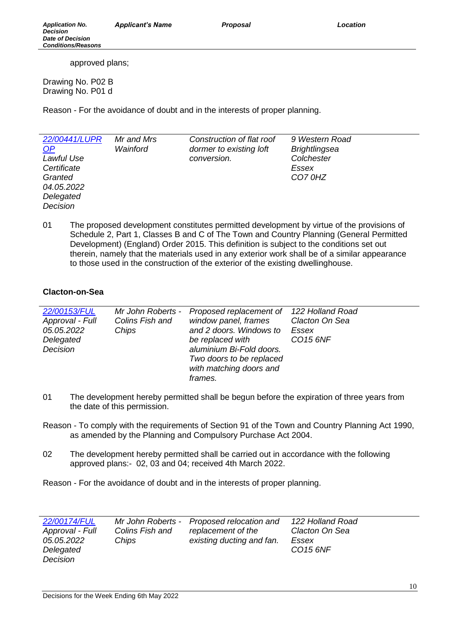approved plans;

Drawing No. P02 B Drawing No. P01 d

Reason - For the avoidance of doubt and in the interests of proper planning.

| 22/00441/LUPR<br>$\Omega$<br>Lawful Use | Mr and Mrs<br>Wainford | Construction of flat roof<br>dormer to existing loft<br>conversion. | 9 Western Road<br><b>Brightlingsea</b><br>Colchester |
|-----------------------------------------|------------------------|---------------------------------------------------------------------|------------------------------------------------------|
| Certificate                             |                        |                                                                     | Essex                                                |
| Granted                                 |                        |                                                                     | CO70HZ                                               |
| 04.05.2022                              |                        |                                                                     |                                                      |
| Delegated                               |                        |                                                                     |                                                      |
| Decision                                |                        |                                                                     |                                                      |

01 The proposed development constitutes permitted development by virtue of the provisions of Schedule 2, Part 1, Classes B and C of The Town and Country Planning (General Permitted Development) (England) Order 2015. This definition is subject to the conditions set out therein, namely that the materials used in any exterior work shall be of a similar appearance to those used in the construction of the exterior of the existing dwellinghouse.

# **Clacton-on-Sea**

| 22/00153/FUL<br>Approval - Full<br>05.05.2022<br>Delegated<br>Decision | Mr John Roberts -<br>Colins Fish and<br>Chips | Proposed replacement of<br>window panel, frames<br>and 2 doors. Windows to<br>be replaced with<br>aluminium Bi-Fold doors.<br>Two doors to be replaced<br>with matching doors and | 122 Holland Road<br>Clacton On Sea<br>Essex<br>CO15 6NF |
|------------------------------------------------------------------------|-----------------------------------------------|-----------------------------------------------------------------------------------------------------------------------------------------------------------------------------------|---------------------------------------------------------|
|                                                                        |                                               | <i>frames.</i>                                                                                                                                                                    |                                                         |

- 01 The development hereby permitted shall be begun before the expiration of three years from the date of this permission.
- Reason To comply with the requirements of Section 91 of the Town and Country Planning Act 1990, as amended by the Planning and Compulsory Purchase Act 2004.
- 02 The development hereby permitted shall be carried out in accordance with the following approved plans:- 02, 03 and 04; received 4th March 2022.

| 22/00174/FUL<br>Approval - Full | Colins Fish and | Mr John Roberts - Proposed relocation and<br>replacement of the | 122 Holland Road<br>Clacton On Sea |
|---------------------------------|-----------------|-----------------------------------------------------------------|------------------------------------|
| 05.05.2022                      | Chips           | existing ducting and fan.                                       | Essex                              |
| Delegated                       |                 |                                                                 | CO15 6NF                           |
| Decision                        |                 |                                                                 |                                    |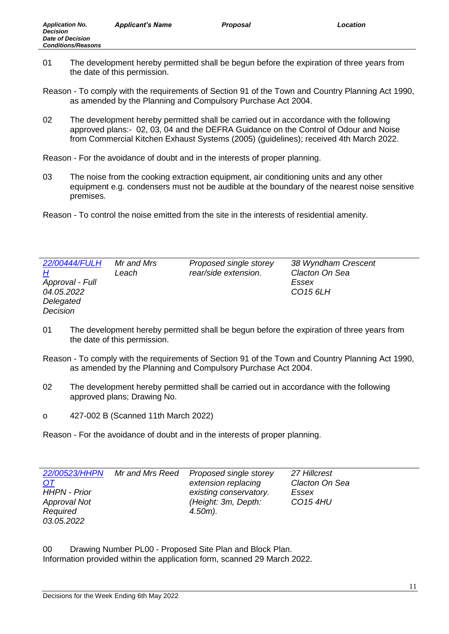- 01 The development hereby permitted shall be begun before the expiration of three years from the date of this permission.
- Reason To comply with the requirements of Section 91 of the Town and Country Planning Act 1990, as amended by the Planning and Compulsory Purchase Act 2004.
- 02 The development hereby permitted shall be carried out in accordance with the following approved plans:- 02, 03, 04 and the DEFRA Guidance on the Control of Odour and Noise from Commercial Kitchen Exhaust Systems (2005) (guidelines); received 4th March 2022.

Reason - For the avoidance of doubt and in the interests of proper planning.

- 03 The noise from the cooking extraction equipment, air conditioning units and any other equipment e.g. condensers must not be audible at the boundary of the nearest noise sensitive premises.
- Reason To control the noise emitted from the site in the interests of residential amenity.

| 22/00444/FULH   | Mr and Mrs | Proposed single storey | 38 Wyndham Crescent  |
|-----------------|------------|------------------------|----------------------|
| <u>Н</u>        | Leach      | rear/side extension.   | Clacton On Sea       |
| Approval - Full |            |                        | Essex                |
| 04.05.2022      |            |                        | CO <sub>15</sub> 6LH |
| Delegated       |            |                        |                      |
| Decision        |            |                        |                      |

- 01 The development hereby permitted shall be begun before the expiration of three years from the date of this permission.
- Reason To comply with the requirements of Section 91 of the Town and Country Planning Act 1990, as amended by the Planning and Compulsory Purchase Act 2004.
- 02 The development hereby permitted shall be carried out in accordance with the following approved plans; Drawing No.
- o 427-002 B (Scanned 11th March 2022)

Reason - For the avoidance of doubt and in the interests of proper planning.

| 22/00523/HHPN       | Mr and Mrs Reed | Proposed single storey | 27 Hillcrest    |
|---------------------|-----------------|------------------------|-----------------|
| <u>OT</u>           |                 | extension replacing    | Clacton On Sea  |
| <b>HHPN - Prior</b> |                 | existing conservatory. | Essex           |
| <b>Approval Not</b> |                 | (Height: 3m, Depth:    | <b>CO15 4HU</b> |
| Required            |                 | $4.50m$ ).             |                 |
| 03.05.2022          |                 |                        |                 |

00 Drawing Number PL00 - Proposed Site Plan and Block Plan. Information provided within the application form, scanned 29 March 2022.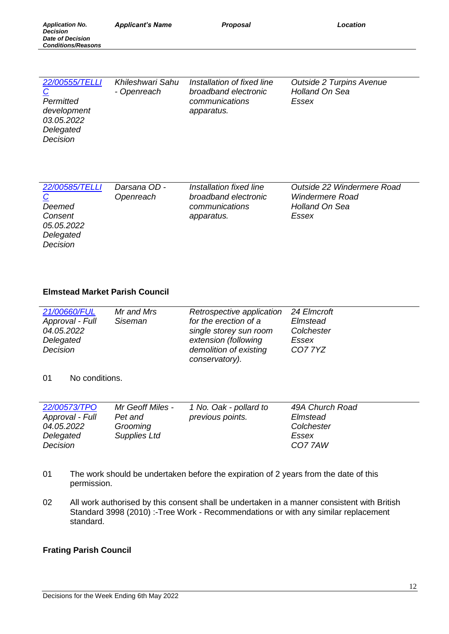| 22/00555/TELLI | Khileshwari Sahu | Installation of fixed line | <b>Outside 2 Turpins Avenue</b> |
|----------------|------------------|----------------------------|---------------------------------|
| $\overline{C}$ | - Openreach      | broadband electronic       | <b>Holland On Sea</b>           |
| Permitted      |                  | communications             | Essex                           |
| development    |                  | apparatus.                 |                                 |
| 03.05.2022     |                  |                            |                                 |
| Delegated      |                  |                            |                                 |
| Decision       |                  |                            |                                 |

| 22/00585/TELLI | Darsana OD - | Installation fixed line | Outside 22 Windermere Road |
|----------------|--------------|-------------------------|----------------------------|
| $\overline{C}$ | Openreach    | broadband electronic    | <b>Windermere Road</b>     |
| Deemed         |              | communications          | <b>Holland On Sea</b>      |
| Consent        |              | apparatus.              | Essex                      |
| 05.05.2022     |              |                         |                            |
| Delegated      |              |                         |                            |
| Decision       |              |                         |                            |

# **Elmstead Market Parish Council**

| 24 Elmcroft |
|-------------|
| Elmstead    |
| Colchester  |
| Essex       |
| CO7 7YZ     |
|             |
|             |

#### 01 No conditions.

*Application No. Decision Date of Decision Conditions/Reasons*

| Mr Geoff Miles - | 49A Church Road                            |
|------------------|--------------------------------------------|
| Pet and          | Elmstead                                   |
| Grooming         | Colchester                                 |
| Supplies Ltd     | Essex                                      |
|                  | CO77AW                                     |
|                  | 1 No. Oak - pollard to<br>previous points. |

- 01 The work should be undertaken before the expiration of 2 years from the date of this permission.
- 02 All work authorised by this consent shall be undertaken in a manner consistent with British Standard 3998 (2010) :-Tree Work - Recommendations or with any similar replacement standard.

#### **Frating Parish Council**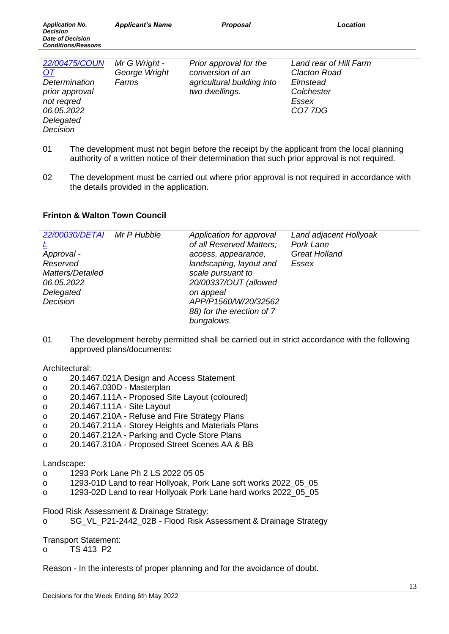| 22/00475/COUN<br><u>OT</u><br>Determination<br>prior approval<br>not regred<br>06.05.2022<br>Delegated<br>Decision | Mr G Wright -<br>George Wright<br>Farms | Prior approval for the<br>conversion of an<br>agricultural building into<br>two dwellings. | Land rear of Hill Farm<br><b>Clacton Road</b><br>Elmstead<br>Colchester<br>Essex<br>CO77DG |
|--------------------------------------------------------------------------------------------------------------------|-----------------------------------------|--------------------------------------------------------------------------------------------|--------------------------------------------------------------------------------------------|
|                                                                                                                    |                                         |                                                                                            |                                                                                            |

- 01 The development must not begin before the receipt by the applicant from the local planning authority of a written notice of their determination that such prior approval is not required.
- 02 The development must be carried out where prior approval is not required in accordance with the details provided in the application.

# **Frinton & Walton Town Council**

| 22/00030/DETAI   | Mr P Hubble | Application for approval  | Land adjacent Hollyoak |
|------------------|-------------|---------------------------|------------------------|
|                  |             | of all Reserved Matters;  | Pork Lane              |
| Approval -       |             | access, appearance,       | <b>Great Holland</b>   |
| Reserved         |             | landscaping, layout and   | Essex                  |
| Matters/Detailed |             | scale pursuant to         |                        |
| 06.05.2022       |             | 20/00337/OUT (allowed     |                        |
| Delegated        |             | on appeal                 |                        |
| Decision         |             | APP/P1560/W/20/32562      |                        |
|                  |             | 88) for the erection of 7 |                        |
|                  |             | bungalows.                |                        |

01 The development hereby permitted shall be carried out in strict accordance with the following approved plans/documents:

Architectural:

- o 20.1467.021A Design and Access Statement
- o 20.1467.030D Masterplan
- o 20.1467.111A Proposed Site Layout (coloured)
- o 20.1467.111A Site Layout
- o 20.1467.210A Refuse and Fire Strategy Plans
- o 20.1467.211A Storey Heights and Materials Plans
- o 20.1467.212A Parking and Cycle Store Plans
- o 20.1467.310A Proposed Street Scenes AA & BB

Landscape:

- o 1293 Pork Lane Ph 2 LS 2022 05 05
- o 1293-01D Land to rear Hollyoak, Pork Lane soft works 2022\_05\_05
- o 1293-02D Land to rear Hollyoak Pork Lane hard works 2022\_05\_05

Flood Risk Assessment & Drainage Strategy:

o SG\_VL\_P21-2442\_02B - Flood Risk Assessment & Drainage Strategy

Transport Statement:

o TS 413 P2

Reason - In the interests of proper planning and for the avoidance of doubt.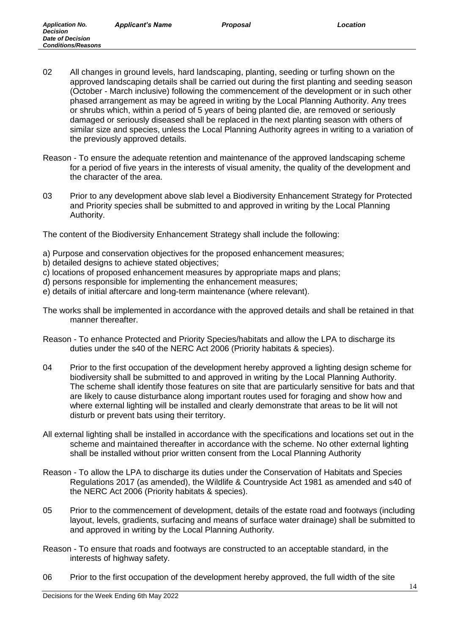- 02 All changes in ground levels, hard landscaping, planting, seeding or turfing shown on the approved landscaping details shall be carried out during the first planting and seeding season (October - March inclusive) following the commencement of the development or in such other phased arrangement as may be agreed in writing by the Local Planning Authority. Any trees or shrubs which, within a period of 5 years of being planted die, are removed or seriously damaged or seriously diseased shall be replaced in the next planting season with others of similar size and species, unless the Local Planning Authority agrees in writing to a variation of the previously approved details.
- Reason To ensure the adequate retention and maintenance of the approved landscaping scheme for a period of five years in the interests of visual amenity, the quality of the development and the character of the area.
- 03 Prior to any development above slab level a Biodiversity Enhancement Strategy for Protected and Priority species shall be submitted to and approved in writing by the Local Planning Authority.

The content of the Biodiversity Enhancement Strategy shall include the following:

- a) Purpose and conservation objectives for the proposed enhancement measures;
- b) detailed designs to achieve stated objectives;
- c) locations of proposed enhancement measures by appropriate maps and plans;
- d) persons responsible for implementing the enhancement measures;
- e) details of initial aftercare and long-term maintenance (where relevant).
- The works shall be implemented in accordance with the approved details and shall be retained in that manner thereafter.
- Reason To enhance Protected and Priority Species/habitats and allow the LPA to discharge its duties under the s40 of the NERC Act 2006 (Priority habitats & species).
- 04 Prior to the first occupation of the development hereby approved a lighting design scheme for biodiversity shall be submitted to and approved in writing by the Local Planning Authority. The scheme shall identify those features on site that are particularly sensitive for bats and that are likely to cause disturbance along important routes used for foraging and show how and where external lighting will be installed and clearly demonstrate that areas to be lit will not disturb or prevent bats using their territory.
- All external lighting shall be installed in accordance with the specifications and locations set out in the scheme and maintained thereafter in accordance with the scheme. No other external lighting shall be installed without prior written consent from the Local Planning Authority
- Reason To allow the LPA to discharge its duties under the Conservation of Habitats and Species Regulations 2017 (as amended), the Wildlife & Countryside Act 1981 as amended and s40 of the NERC Act 2006 (Priority habitats & species).
- 05 Prior to the commencement of development, details of the estate road and footways (including layout, levels, gradients, surfacing and means of surface water drainage) shall be submitted to and approved in writing by the Local Planning Authority.
- Reason To ensure that roads and footways are constructed to an acceptable standard, in the interests of highway safety.
- 06 Prior to the first occupation of the development hereby approved, the full width of the site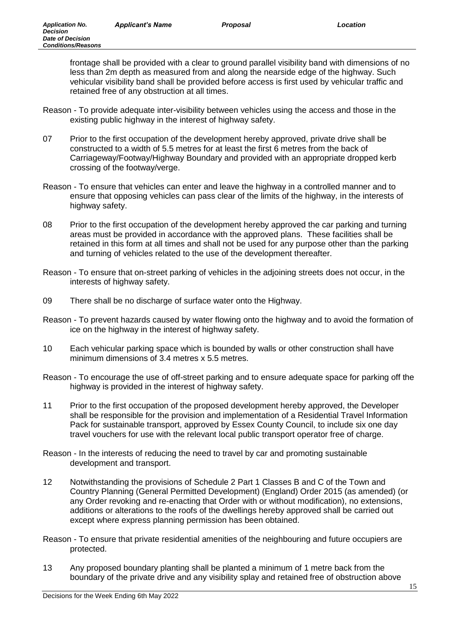*Application No. Decision Date of Decision Conditions/Reasons*

> frontage shall be provided with a clear to ground parallel visibility band with dimensions of no less than 2m depth as measured from and along the nearside edge of the highway. Such vehicular visibility band shall be provided before access is first used by vehicular traffic and retained free of any obstruction at all times.

- Reason To provide adequate inter-visibility between vehicles using the access and those in the existing public highway in the interest of highway safety.
- 07 Prior to the first occupation of the development hereby approved, private drive shall be constructed to a width of 5.5 metres for at least the first 6 metres from the back of Carriageway/Footway/Highway Boundary and provided with an appropriate dropped kerb crossing of the footway/verge.
- Reason To ensure that vehicles can enter and leave the highway in a controlled manner and to ensure that opposing vehicles can pass clear of the limits of the highway, in the interests of highway safety.
- 08 Prior to the first occupation of the development hereby approved the car parking and turning areas must be provided in accordance with the approved plans. These facilities shall be retained in this form at all times and shall not be used for any purpose other than the parking and turning of vehicles related to the use of the development thereafter.
- Reason To ensure that on-street parking of vehicles in the adjoining streets does not occur, in the interests of highway safety.
- 09 There shall be no discharge of surface water onto the Highway.
- Reason To prevent hazards caused by water flowing onto the highway and to avoid the formation of ice on the highway in the interest of highway safety.
- 10 Each vehicular parking space which is bounded by walls or other construction shall have minimum dimensions of 3.4 metres x 5.5 metres.
- Reason To encourage the use of off-street parking and to ensure adequate space for parking off the highway is provided in the interest of highway safety.
- 11 Prior to the first occupation of the proposed development hereby approved, the Developer shall be responsible for the provision and implementation of a Residential Travel Information Pack for sustainable transport, approved by Essex County Council, to include six one day travel vouchers for use with the relevant local public transport operator free of charge.
- Reason In the interests of reducing the need to travel by car and promoting sustainable development and transport.
- 12 Notwithstanding the provisions of Schedule 2 Part 1 Classes B and C of the Town and Country Planning (General Permitted Development) (England) Order 2015 (as amended) (or any Order revoking and re-enacting that Order with or without modification), no extensions, additions or alterations to the roofs of the dwellings hereby approved shall be carried out except where express planning permission has been obtained.
- Reason To ensure that private residential amenities of the neighbouring and future occupiers are protected.
- 13 Any proposed boundary planting shall be planted a minimum of 1 metre back from the boundary of the private drive and any visibility splay and retained free of obstruction above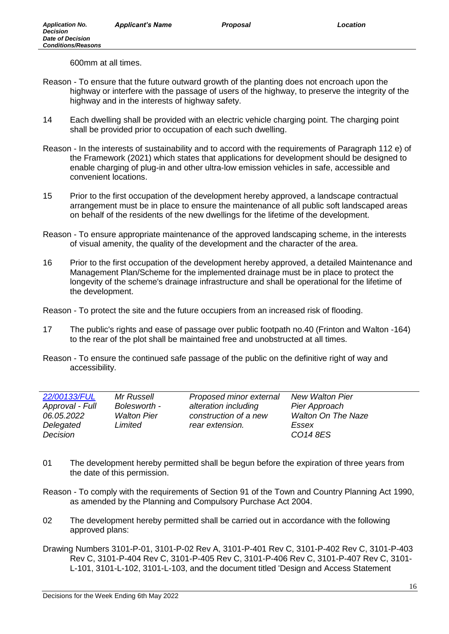600mm at all times.

- Reason To ensure that the future outward growth of the planting does not encroach upon the highway or interfere with the passage of users of the highway, to preserve the integrity of the highway and in the interests of highway safety.
- 14 Each dwelling shall be provided with an electric vehicle charging point. The charging point shall be provided prior to occupation of each such dwelling.
- Reason In the interests of sustainability and to accord with the requirements of Paragraph 112 e) of the Framework (2021) which states that applications for development should be designed to enable charging of plug-in and other ultra-low emission vehicles in safe, accessible and convenient locations.
- 15 Prior to the first occupation of the development hereby approved, a landscape contractual arrangement must be in place to ensure the maintenance of all public soft landscaped areas on behalf of the residents of the new dwellings for the lifetime of the development.
- Reason To ensure appropriate maintenance of the approved landscaping scheme, in the interests of visual amenity, the quality of the development and the character of the area.
- 16 Prior to the first occupation of the development hereby approved, a detailed Maintenance and Management Plan/Scheme for the implemented drainage must be in place to protect the longevity of the scheme's drainage infrastructure and shall be operational for the lifetime of the development.

Reason - To protect the site and the future occupiers from an increased risk of flooding.

- 17 The public's rights and ease of passage over public footpath no.40 (Frinton and Walton -164) to the rear of the plot shall be maintained free and unobstructed at all times.
- Reason To ensure the continued safe passage of the public on the definitive right of way and accessibility.

| 22/00133/FUL    | Mr Russell         | Proposed minor external | <b>New Walton Pier</b>    |
|-----------------|--------------------|-------------------------|---------------------------|
| Approval - Full | Bolesworth -       | alteration including    | Pier Approach             |
| 06.05.2022      | <b>Walton Pier</b> | construction of a new   | <b>Walton On The Naze</b> |
| Delegated       | Limited            | rear extension.         | Essex                     |
| Decision        |                    |                         | CO14 8ES                  |

- 01 The development hereby permitted shall be begun before the expiration of three years from the date of this permission.
- Reason To comply with the requirements of Section 91 of the Town and Country Planning Act 1990, as amended by the Planning and Compulsory Purchase Act 2004.
- 02 The development hereby permitted shall be carried out in accordance with the following approved plans:
- Drawing Numbers 3101-P-01, 3101-P-02 Rev A, 3101-P-401 Rev C, 3101-P-402 Rev C, 3101-P-403 Rev C, 3101-P-404 Rev C, 3101-P-405 Rev C, 3101-P-406 Rev C, 3101-P-407 Rev C, 3101- L-101, 3101-L-102, 3101-L-103, and the document titled 'Design and Access Statement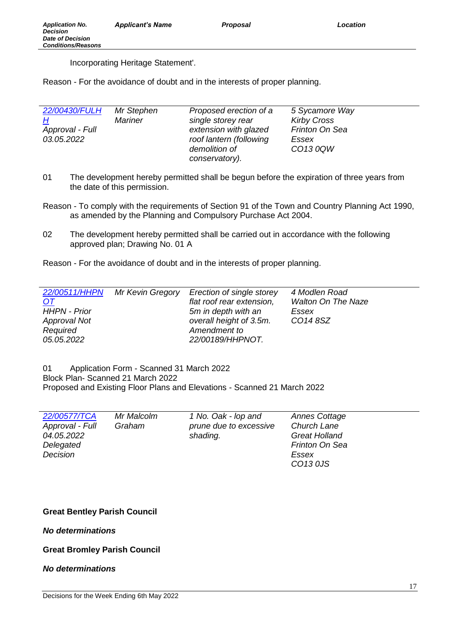Incorporating Heritage Statement'.

Reason - For the avoidance of doubt and in the interests of proper planning.

| 22/00430/FULH   | Mr Stephen | Proposed erection of a  | 5 Sycamore Way     |
|-----------------|------------|-------------------------|--------------------|
| H               | Mariner    | single storey rear      | <b>Kirby Cross</b> |
| Approval - Full |            | extension with glazed   | Frinton On Sea     |
| 03.05.2022      |            | roof lantern (following | Essex              |
|                 |            | demolition of           | CO13 0QW           |
|                 |            | conservatory).          |                    |

- 01 The development hereby permitted shall be begun before the expiration of three years from the date of this permission.
- Reason To comply with the requirements of Section 91 of the Town and Country Planning Act 1990, as amended by the Planning and Compulsory Purchase Act 2004.
- 02 The development hereby permitted shall be carried out in accordance with the following approved plan; Drawing No. 01 A

Reason - For the avoidance of doubt and in the interests of proper planning.

|                     | 22/00511/HHPN Mr Kevin Gregory | Erection of single storey | 4 Modlen Road             |
|---------------------|--------------------------------|---------------------------|---------------------------|
| <u>OT</u>           |                                | flat roof rear extension, | <b>Walton On The Naze</b> |
| <b>HHPN - Prior</b> |                                | 5m in depth with an       | Essex                     |
| <b>Approval Not</b> |                                | overall height of 3.5m.   | CO14 8SZ                  |
| Required            |                                | Amendment to              |                           |
| 05.05.2022          |                                | 22/00189/HHPNOT.          |                           |

01 Application Form - Scanned 31 March 2022 Block Plan- Scanned 21 March 2022 Proposed and Existing Floor Plans and Elevations - Scanned 21 March 2022

| 22/00577/TCA    | Mr Malcolm | 1 No. Oak - lop and    | <b>Annes Cottage</b> |
|-----------------|------------|------------------------|----------------------|
| Approval - Full | Graham     | prune due to excessive | <b>Church Lane</b>   |
| 04.05.2022      |            | shading.               | <b>Great Holland</b> |
| Delegated       |            |                        | Frinton On Sea       |
| Decision        |            |                        | Essex                |
|                 |            |                        | CO13 0JS             |

## **Great Bentley Parish Council**

*No determinations*

**Great Bromley Parish Council** 

## *No determinations*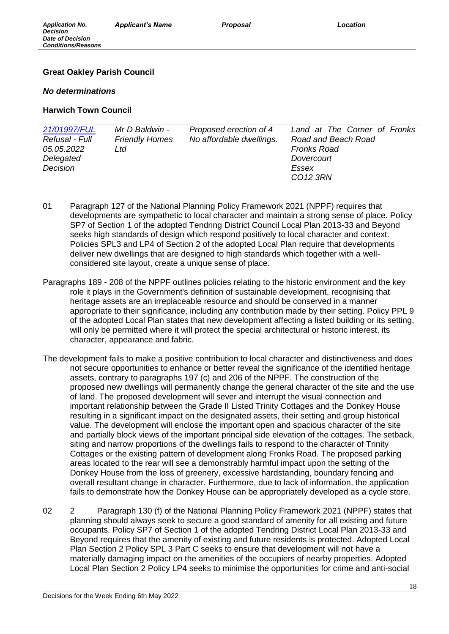# **Great Oakley Parish Council**

## *No determinations*

# **Harwich Town Council**

| 21/01997/FUL      | Mr D Baldwin -        | Proposed erection of 4   | Land at The Corner of Fronks |
|-------------------|-----------------------|--------------------------|------------------------------|
| Refusal - Full    | <b>Friendly Homes</b> | No affordable dwellings. | Road and Beach Road          |
| <i>05.05.2022</i> | Ltd                   |                          | <b>Fronks Road</b>           |
| Delegated         |                       |                          | Dovercourt                   |
| Decision          |                       |                          | Essex                        |
|                   |                       |                          | CO12 3RN                     |

- 01 Paragraph 127 of the National Planning Policy Framework 2021 (NPPF) requires that developments are sympathetic to local character and maintain a strong sense of place. Policy SP7 of Section 1 of the adopted Tendring District Council Local Plan 2013-33 and Beyond seeks high standards of design which respond positively to local character and context. Policies SPL3 and LP4 of Section 2 of the adopted Local Plan require that developments deliver new dwellings that are designed to high standards which together with a wellconsidered site layout, create a unique sense of place.
- Paragraphs 189 208 of the NPPF outlines policies relating to the historic environment and the key role it plays in the Government's definition of sustainable development, recognising that heritage assets are an irreplaceable resource and should be conserved in a manner appropriate to their significance, including any contribution made by their setting. Policy PPL 9 of the adopted Local Plan states that new development affecting a listed building or its setting, will only be permitted where it will protect the special architectural or historic interest, its character, appearance and fabric.
- The development fails to make a positive contribution to local character and distinctiveness and does not secure opportunities to enhance or better reveal the significance of the identified heritage assets, contrary to paragraphs 197 (c) and 206 of the NPPF. The construction of the proposed new dwellings will permanently change the general character of the site and the use of land. The proposed development will sever and interrupt the visual connection and important relationship between the Grade II Listed Trinity Cottages and the Donkey House resulting in a significant impact on the designated assets, their setting and group historical value. The development will enclose the important open and spacious character of the site and partially block views of the important principal side elevation of the cottages. The setback, siting and narrow proportions of the dwellings fails to respond to the character of Trinity Cottages or the existing pattern of development along Fronks Road. The proposed parking areas located to the rear will see a demonstrably harmful impact upon the setting of the Donkey House from the loss of greenery, excessive hardstanding, boundary fencing and overall resultant change in character. Furthermore, due to lack of information, the application fails to demonstrate how the Donkey House can be appropriately developed as a cycle store.
- 02 2 Paragraph 130 (f) of the National Planning Policy Framework 2021 (NPPF) states that planning should always seek to secure a good standard of amenity for all existing and future occupants. Policy SP7 of Section 1 of the adopted Tendring District Local Plan 2013-33 and Beyond requires that the amenity of existing and future residents is protected. Adopted Local Plan Section 2 Policy SPL 3 Part C seeks to ensure that development will not have a materially damaging impact on the amenities of the occupiers of nearby properties. Adopted Local Plan Section 2 Policy LP4 seeks to minimise the opportunities for crime and anti-social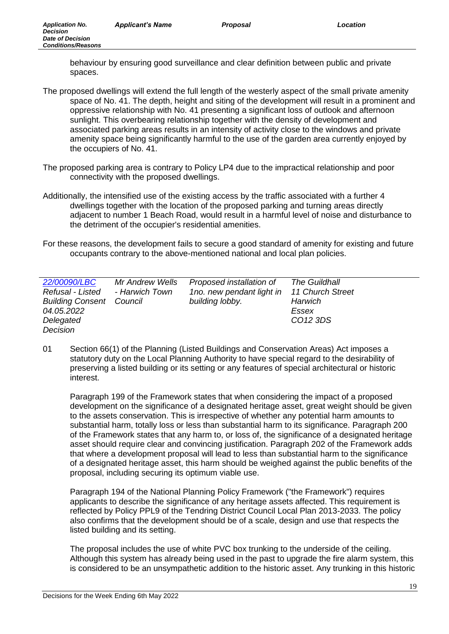behaviour by ensuring good surveillance and clear definition between public and private spaces.

- The proposed dwellings will extend the full length of the westerly aspect of the small private amenity space of No. 41. The depth, height and siting of the development will result in a prominent and oppressive relationship with No. 41 presenting a significant loss of outlook and afternoon sunlight. This overbearing relationship together with the density of development and associated parking areas results in an intensity of activity close to the windows and private amenity space being significantly harmful to the use of the garden area currently enjoyed by the occupiers of No. 41.
- The proposed parking area is contrary to Policy LP4 due to the impractical relationship and poor connectivity with the proposed dwellings.
- Additionally, the intensified use of the existing access by the traffic associated with a further 4 dwellings together with the location of the proposed parking and turning areas directly adjacent to number 1 Beach Road, would result in a harmful level of noise and disturbance to the detriment of the occupier's residential amenities.
- For these reasons, the development fails to secure a good standard of amenity for existing and future occupants contrary to the above-mentioned national and local plan policies.

| 22/00090/LBC<br>Mr Andrew Wells<br>Refusal - Listed<br>- Harwich Town<br><b>Building Consent Council</b><br>04.05.2022<br>Delegated<br>Decision | Proposed installation of<br>1no. new pendant light in<br>building lobby. | <b>The Guildhall</b><br><b>11 Church Street</b><br>Harwich<br>Essex<br>CO <sub>12</sub> 3DS |
|-------------------------------------------------------------------------------------------------------------------------------------------------|--------------------------------------------------------------------------|---------------------------------------------------------------------------------------------|
|-------------------------------------------------------------------------------------------------------------------------------------------------|--------------------------------------------------------------------------|---------------------------------------------------------------------------------------------|

01 Section 66(1) of the Planning (Listed Buildings and Conservation Areas) Act imposes a statutory duty on the Local Planning Authority to have special regard to the desirability of preserving a listed building or its setting or any features of special architectural or historic interest.

Paragraph 199 of the Framework states that when considering the impact of a proposed development on the significance of a designated heritage asset, great weight should be given to the assets conservation. This is irrespective of whether any potential harm amounts to substantial harm, totally loss or less than substantial harm to its significance. Paragraph 200 of the Framework states that any harm to, or loss of, the significance of a designated heritage asset should require clear and convincing justification. Paragraph 202 of the Framework adds that where a development proposal will lead to less than substantial harm to the significance of a designated heritage asset, this harm should be weighed against the public benefits of the proposal, including securing its optimum viable use.

Paragraph 194 of the National Planning Policy Framework ("the Framework") requires applicants to describe the significance of any heritage assets affected. This requirement is reflected by Policy PPL9 of the Tendring District Council Local Plan 2013-2033. The policy also confirms that the development should be of a scale, design and use that respects the listed building and its setting.

The proposal includes the use of white PVC box trunking to the underside of the ceiling. Although this system has already being used in the past to upgrade the fire alarm system, this is considered to be an unsympathetic addition to the historic asset. Any trunking in this historic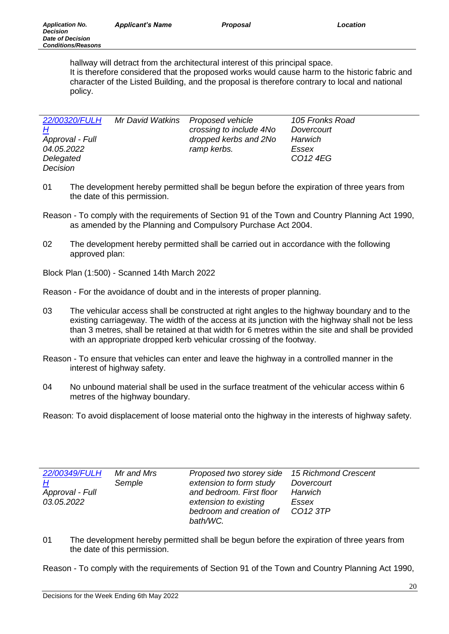| 22/00320/FULH   | Mr David Watkins Proposed vehicle |                         | 105 Fronks Road      |
|-----------------|-----------------------------------|-------------------------|----------------------|
| H               |                                   | crossing to include 4No | Dovercourt           |
| Approval - Full |                                   | dropped kerbs and 2No   | Harwich              |
| 04.05.2022      |                                   | ramp kerbs.             | Essex                |
| Delegated       |                                   |                         | CO <sub>12</sub> 4EG |
| Decision        |                                   |                         |                      |

- 01 The development hereby permitted shall be begun before the expiration of three years from the date of this permission.
- Reason To comply with the requirements of Section 91 of the Town and Country Planning Act 1990, as amended by the Planning and Compulsory Purchase Act 2004.
- 02 The development hereby permitted shall be carried out in accordance with the following approved plan:

Block Plan (1:500) - Scanned 14th March 2022

Reason - For the avoidance of doubt and in the interests of proper planning.

- 03 The vehicular access shall be constructed at right angles to the highway boundary and to the existing carriageway. The width of the access at its junction with the highway shall not be less than 3 metres, shall be retained at that width for 6 metres within the site and shall be provided with an appropriate dropped kerb vehicular crossing of the footway.
- Reason To ensure that vehicles can enter and leave the highway in a controlled manner in the interest of highway safety.
- 04 No unbound material shall be used in the surface treatment of the vehicular access within 6 metres of the highway boundary.

Reason: To avoid displacement of loose material onto the highway in the interests of highway safety.

| 22/00349/FULH   | Mr and Mrs | Proposed two storey side 15 Richmond Crescent |                      |
|-----------------|------------|-----------------------------------------------|----------------------|
| H               | Semple     | extension to form study                       | Dovercourt           |
| Approval - Full |            | and bedroom. First floor                      | Harwich              |
| 03.05.2022      |            | extension to existing                         | Essex                |
|                 |            | bedroom and creation of                       | CO <sub>12</sub> 3TP |
|                 |            | bath/WC.                                      |                      |

01 The development hereby permitted shall be begun before the expiration of three years from the date of this permission.

Reason - To comply with the requirements of Section 91 of the Town and Country Planning Act 1990,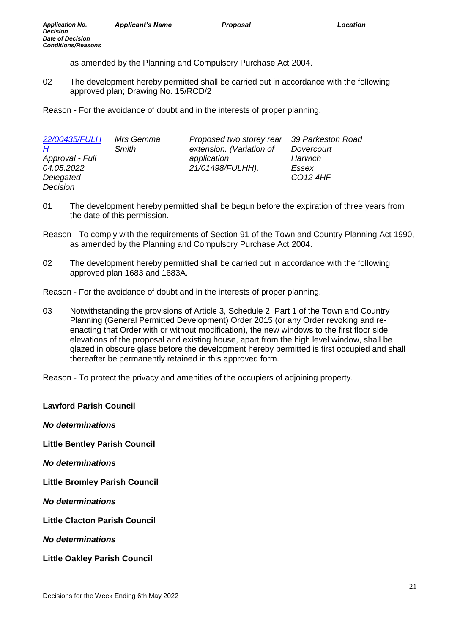as amended by the Planning and Compulsory Purchase Act 2004.

02 The development hereby permitted shall be carried out in accordance with the following approved plan; Drawing No. 15/RCD/2

Reason - For the avoidance of doubt and in the interests of proper planning.

| 22/00435/FULH   | Mrs Gemma | Proposed two storey rear | 39 Parkeston Road    |
|-----------------|-----------|--------------------------|----------------------|
| H               | Smith     | extension. (Variation of | Dovercourt           |
| Approval - Full |           | application              | Harwich              |
| 04.05.2022      |           | 21/01498/FULHH).         | Essex                |
| Delegated       |           |                          | CO <sub>12</sub> 4HF |
| Decision        |           |                          |                      |

- 01 The development hereby permitted shall be begun before the expiration of three years from the date of this permission.
- Reason To comply with the requirements of Section 91 of the Town and Country Planning Act 1990, as amended by the Planning and Compulsory Purchase Act 2004.
- 02 The development hereby permitted shall be carried out in accordance with the following approved plan 1683 and 1683A.

Reason - For the avoidance of doubt and in the interests of proper planning.

03 Notwithstanding the provisions of Article 3, Schedule 2, Part 1 of the Town and Country Planning (General Permitted Development) Order 2015 (or any Order revoking and reenacting that Order with or without modification), the new windows to the first floor side elevations of the proposal and existing house, apart from the high level window, shall be glazed in obscure glass before the development hereby permitted is first occupied and shall thereafter be permanently retained in this approved form.

Reason - To protect the privacy and amenities of the occupiers of adjoining property.

**Lawford Parish Council**  *No determinations* **Little Bentley Parish Council**  *No determinations* **Little Bromley Parish Council**  *No determinations* **Little Clacton Parish Council**  *No determinations* **Little Oakley Parish Council**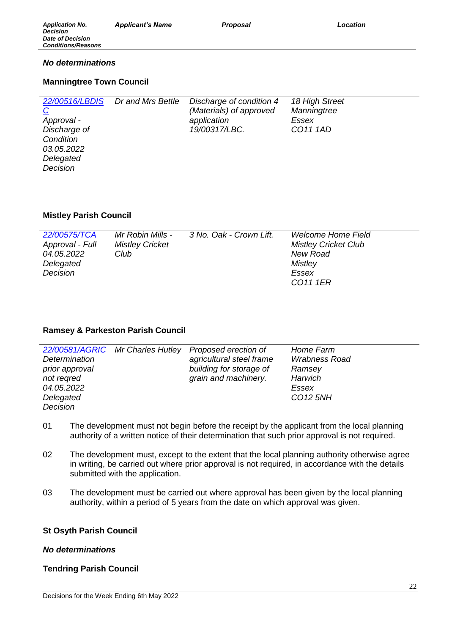# *No determinations*

# **Manningtree Town Council**

| 22/00516/LBDIS | Dr and Mrs Bettle | Discharge of condition 4 | 18 High Street |
|----------------|-------------------|--------------------------|----------------|
| $\overline{C}$ |                   | (Materials) of approved  | Manningtree    |
| Approval -     |                   | application              | Essex          |
| Discharge of   |                   | 19/00317/LBC.            | CO11 1AD       |
| Condition      |                   |                          |                |
| 03.05.2022     |                   |                          |                |
| Delegated      |                   |                          |                |
| Decision       |                   |                          |                |

# **Mistley Parish Council**

| 22/00575/TCA    | Mr Robin Mills -       | 3 No. Oak - Crown Lift. | <b>Welcome Home Field</b>   |
|-----------------|------------------------|-------------------------|-----------------------------|
| Approval - Full | <b>Mistley Cricket</b> |                         | <b>Mistley Cricket Club</b> |
| 04.05.2022      | Club                   |                         | New Road                    |
| Delegated       |                        |                         | Mistley                     |
| Decision        |                        |                         | Essex                       |
|                 |                        |                         | CO <sub>11</sub> 1ER        |

## **Ramsey & Parkeston Parish Council**

|                | 22/00581/AGRIC Mr Charles Hutley | Proposed erection of     | Home Farm            |
|----------------|----------------------------------|--------------------------|----------------------|
| Determination  |                                  | agricultural steel frame | <b>Wrabness Road</b> |
| prior approval |                                  | building for storage of  | Ramsey               |
| not regred     |                                  | grain and machinery.     | Harwich              |
| 04.05.2022     |                                  |                          | Essex                |
| Delegated      |                                  |                          | CO <sub>12</sub> 5NH |
| Decision       |                                  |                          |                      |

- 01 The development must not begin before the receipt by the applicant from the local planning authority of a written notice of their determination that such prior approval is not required.
- 02 The development must, except to the extent that the local planning authority otherwise agree in writing, be carried out where prior approval is not required, in accordance with the details submitted with the application.
- 03 The development must be carried out where approval has been given by the local planning authority, within a period of 5 years from the date on which approval was given.

## **St Osyth Parish Council**

## *No determinations*

## **Tendring Parish Council**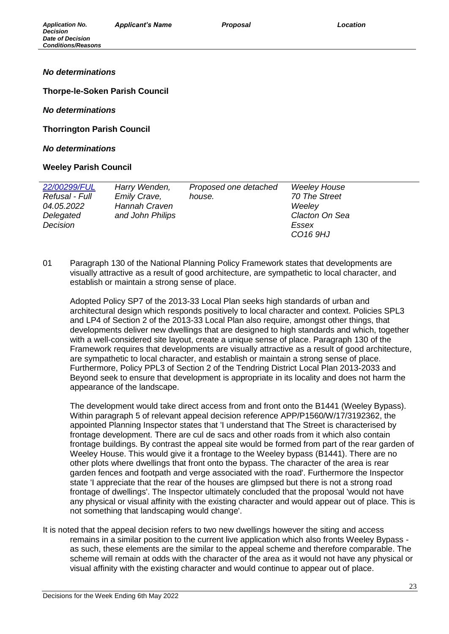# *No determinations*

**Thorpe-le-Soken Parish Council** 

## *No determinations*

**Thorrington Parish Council** 

#### *No determinations*

## **Weeley Parish Council**

| 22/00299/FUL   | Harry Wenden,    | Proposed one detached | <b>Weeley House</b>  |
|----------------|------------------|-----------------------|----------------------|
| Refusal - Full | Emily Crave,     | house.                | 70 The Street        |
| 04.05.2022     | Hannah Craven    |                       | Weeley               |
| Delegated      | and John Philips |                       | Clacton On Sea       |
| Decision       |                  |                       | Essex                |
|                |                  |                       | CO <sub>16</sub> 9HJ |

01 Paragraph 130 of the National Planning Policy Framework states that developments are visually attractive as a result of good architecture, are sympathetic to local character, and establish or maintain a strong sense of place.

Adopted Policy SP7 of the 2013-33 Local Plan seeks high standards of urban and architectural design which responds positively to local character and context. Policies SPL3 and LP4 of Section 2 of the 2013-33 Local Plan also require, amongst other things, that developments deliver new dwellings that are designed to high standards and which, together with a well-considered site layout, create a unique sense of place. Paragraph 130 of the Framework requires that developments are visually attractive as a result of good architecture, are sympathetic to local character, and establish or maintain a strong sense of place. Furthermore, Policy PPL3 of Section 2 of the Tendring District Local Plan 2013-2033 and Beyond seek to ensure that development is appropriate in its locality and does not harm the appearance of the landscape.

The development would take direct access from and front onto the B1441 (Weeley Bypass). Within paragraph 5 of relevant appeal decision reference APP/P1560/W/17/3192362, the appointed Planning Inspector states that 'I understand that The Street is characterised by frontage development. There are cul de sacs and other roads from it which also contain frontage buildings. By contrast the appeal site would be formed from part of the rear garden of Weeley House. This would give it a frontage to the Weeley bypass (B1441). There are no other plots where dwellings that front onto the bypass. The character of the area is rear garden fences and footpath and verge associated with the road'. Furthermore the Inspector state 'I appreciate that the rear of the houses are glimpsed but there is not a strong road frontage of dwellings'. The Inspector ultimately concluded that the proposal 'would not have any physical or visual affinity with the existing character and would appear out of place. This is not something that landscaping would change'.

It is noted that the appeal decision refers to two new dwellings however the siting and access remains in a similar position to the current live application which also fronts Weeley Bypass as such, these elements are the similar to the appeal scheme and therefore comparable. The scheme will remain at odds with the character of the area as it would not have any physical or visual affinity with the existing character and would continue to appear out of place.